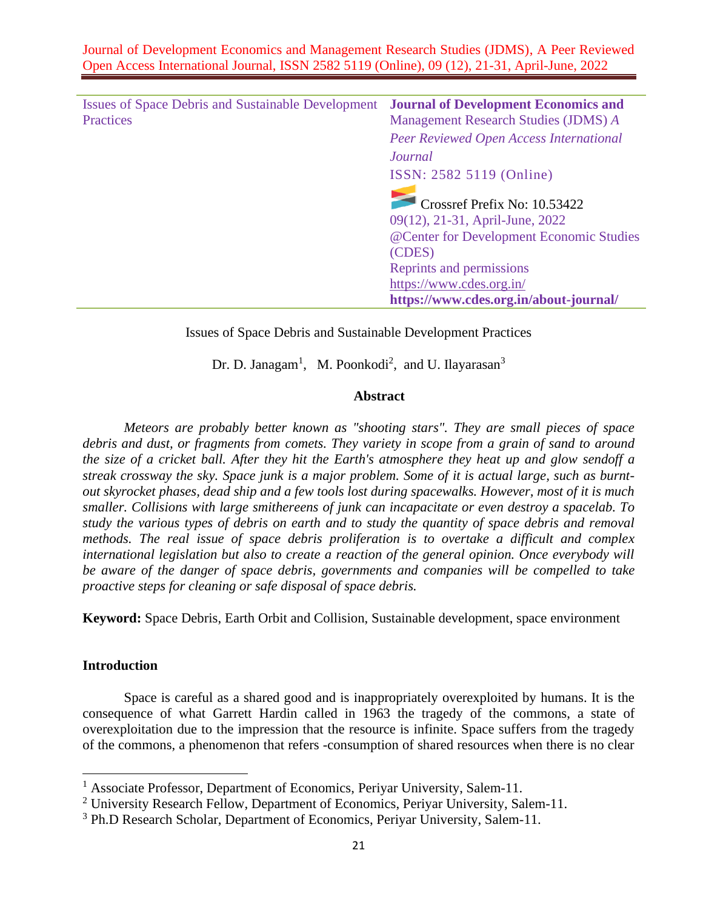| <b>Issues of Space Debris and Sustainable Development</b><br>Practices | <b>Journal of Development Economics and</b><br>Management Research Studies (JDMS) A                         |  |
|------------------------------------------------------------------------|-------------------------------------------------------------------------------------------------------------|--|
|                                                                        | Peer Reviewed Open Access International                                                                     |  |
|                                                                        | Journal                                                                                                     |  |
|                                                                        | ISSN: 2582 5119 (Online)                                                                                    |  |
|                                                                        | Crossref Prefix No: 10.53422<br>09(12), 21-31, April-June, 2022<br>@Center for Development Economic Studies |  |
|                                                                        | (CDES)                                                                                                      |  |
|                                                                        | Reprints and permissions                                                                                    |  |
|                                                                        | https://www.cdes.org.in/                                                                                    |  |
|                                                                        | https://www.cdes.org.in/about-journal/                                                                      |  |

# Issues of Space Debris and Sustainable Development Practices

Dr. D. Janagam<sup>1</sup>, M. Poonkodi<sup>2</sup>, and U. Ilayarasan<sup>3</sup>

### **Abstract**

*Meteors are probably better known as "shooting stars". They are small pieces of space debris and dust, or fragments from comets. They variety in scope from a grain of sand to around the size of a cricket ball. After they hit the Earth's atmosphere they heat up and glow sendoff a streak crossway the sky. Space junk is a major problem. Some of it is actual large, such as burntout skyrocket phases, dead ship and a few tools lost during spacewalks. However, most of it is much smaller. Collisions with large smithereens of junk can incapacitate or even destroy a spacelab. To study the various types of debris on earth and to study the quantity of space debris and removal methods. The real issue of space debris proliferation is to overtake a difficult and complex international legislation but also to create a reaction of the general opinion. Once everybody will be aware of the danger of space debris, governments and companies will be compelled to take proactive steps for cleaning or safe disposal of space debris.*

**Keyword:** Space Debris, Earth Orbit and Collision, Sustainable development, space environment

#### **Introduction**

Space is careful as a shared good and is inappropriately overexploited by humans. It is the consequence of what Garrett Hardin called in 1963 the tragedy of the commons, a state of overexploitation due to the impression that the resource is infinite. Space suffers from the tragedy of the commons, a phenomenon that refers -consumption of shared resources when there is no clear

<sup>&</sup>lt;sup>1</sup> Associate Professor, Department of Economics, Periyar University, Salem-11.

<sup>&</sup>lt;sup>2</sup> University Research Fellow, Department of Economics, Periyar University, Salem-11.

<sup>&</sup>lt;sup>3</sup> Ph.D Research Scholar, Department of Economics, Periyar University, Salem-11.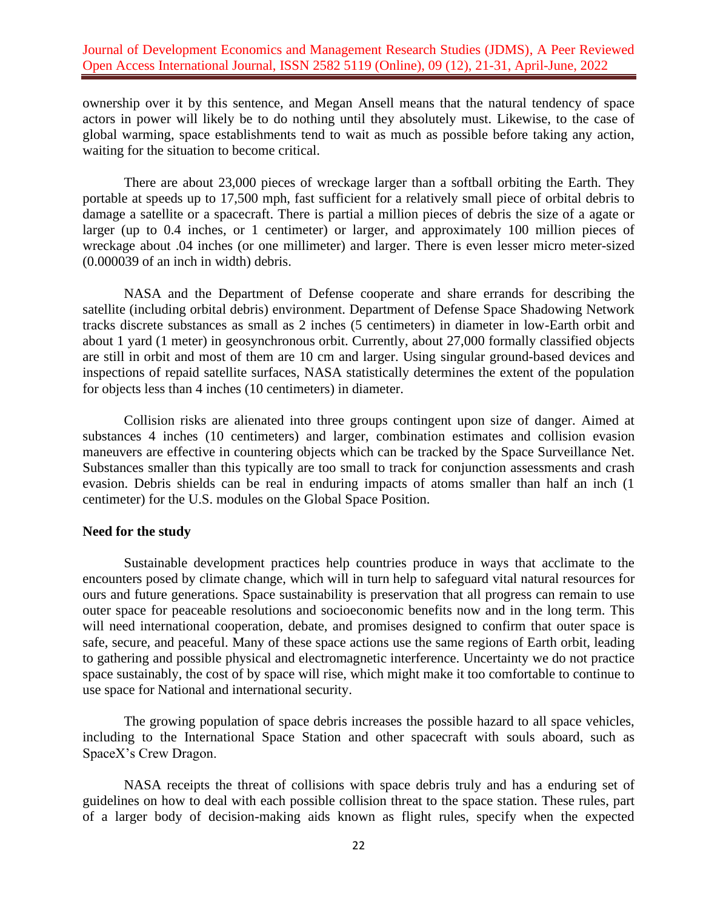ownership over it by this sentence, and Megan Ansell means that the natural tendency of space actors in power will likely be to do nothing until they absolutely must. Likewise, to the case of global warming, space establishments tend to wait as much as possible before taking any action, waiting for the situation to become critical.

There are about 23,000 pieces of wreckage larger than a softball orbiting the Earth. They portable at speeds up to 17,500 mph, fast sufficient for a relatively small piece of orbital debris to damage a satellite or a spacecraft. There is partial a million pieces of debris the size of a agate or larger (up to 0.4 inches, or 1 centimeter) or larger, and approximately 100 million pieces of wreckage about .04 inches (or one millimeter) and larger. There is even lesser micro meter-sized (0.000039 of an inch in width) debris.

NASA and the Department of Defense cooperate and share errands for describing the satellite (including orbital debris) environment. Department of Defense Space Shadowing Network tracks discrete substances as small as 2 inches (5 centimeters) in diameter in low-Earth orbit and about 1 yard (1 meter) in geosynchronous orbit. Currently, about 27,000 formally classified objects are still in orbit and most of them are 10 cm and larger. Using singular ground-based devices and inspections of repaid satellite surfaces, NASA statistically determines the extent of the population for objects less than 4 inches (10 centimeters) in diameter.

Collision risks are alienated into three groups contingent upon size of danger. Aimed at substances 4 inches (10 centimeters) and larger, combination estimates and collision evasion maneuvers are effective in countering objects which can be tracked by the Space Surveillance Net. Substances smaller than this typically are too small to track for conjunction assessments and crash evasion. Debris shields can be real in enduring impacts of atoms smaller than half an inch (1 centimeter) for the U.S. modules on the Global Space Position.

#### **Need for the study**

Sustainable development practices help countries produce in ways that acclimate to the encounters posed by climate change, which will in turn help to safeguard vital natural resources for ours and future generations. Space sustainability is preservation that all progress can remain to use outer space for peaceable resolutions and socioeconomic benefits now and in the long term. This will need international cooperation, debate, and promises designed to confirm that outer space is safe, secure, and peaceful. Many of these space actions use the same regions of Earth orbit, leading to gathering and possible physical and electromagnetic interference. Uncertainty we do not practice space sustainably, the cost of by space will rise, which might make it too comfortable to continue to use space for National and international security.

The growing population of space debris increases the possible hazard to all space vehicles, including to the International Space Station and other spacecraft with souls aboard, such as SpaceX's Crew Dragon.

NASA receipts the threat of collisions with space debris truly and has a enduring set of guidelines on how to deal with each possible collision threat to the space station. These rules, part of a larger body of decision-making aids known as flight rules, specify when the expected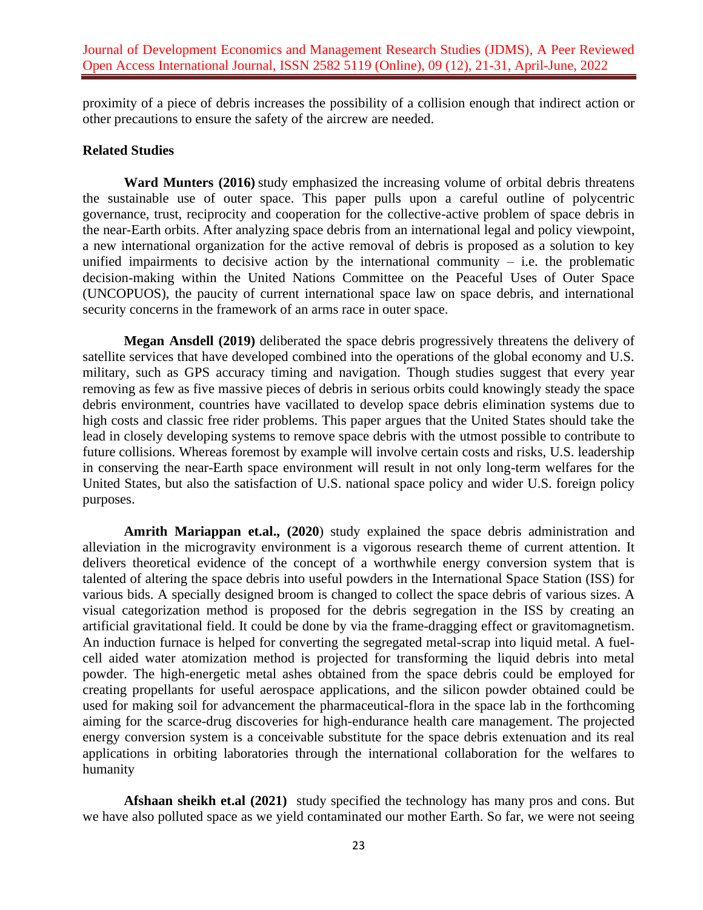proximity of a piece of debris increases the possibility of a collision enough that indirect action or other precautions to ensure the safety of the aircrew are needed.

### **Related Studies**

**Ward Munters (2016)** study emphasized the increasing volume of orbital debris threatens the sustainable use of outer space. This paper pulls upon a careful outline of polycentric governance, trust, reciprocity and cooperation for the collective-active problem of space debris in the near-Earth orbits. After analyzing space debris from an international legal and policy viewpoint, a new international organization for the active removal of debris is proposed as a solution to key unified impairments to decisive action by the international community  $-$  i.e. the problematic decision-making within the United Nations Committee on the Peaceful Uses of Outer Space (UNCOPUOS), the paucity of current international space law on space debris, and international security concerns in the framework of an arms race in outer space.

**Megan Ansdell (2019)** deliberated the space debris progressively threatens the delivery of satellite services that have developed combined into the operations of the global economy and U.S. military, such as GPS accuracy timing and navigation. Though studies suggest that every year removing as few as five massive pieces of debris in serious orbits could knowingly steady the space debris environment, countries have vacillated to develop space debris elimination systems due to high costs and classic free rider problems. This paper argues that the United States should take the lead in closely developing systems to remove space debris with the utmost possible to contribute to future collisions. Whereas foremost by example will involve certain costs and risks, U.S. leadership in conserving the near-Earth space environment will result in not only long-term welfares for the United States, but also the satisfaction of U.S. national space policy and wider U.S. foreign policy purposes.

**Amrith Mariappan et.al., (2020**) study explained the space debris administration and alleviation in the microgravity environment is a vigorous research theme of current attention. It delivers theoretical evidence of the concept of a worthwhile energy conversion system that is talented of altering the space debris into useful powders in the International Space Station (ISS) for various bids. A specially designed broom is changed to collect the space debris of various sizes. A visual categorization method is proposed for the debris segregation in the ISS by creating an artificial gravitational field. It could be done by via the frame-dragging effect or gravitomagnetism. An induction furnace is helped for converting the segregated metal-scrap into liquid metal. A fuelcell aided water atomization method is projected for transforming the liquid debris into metal powder. The high-energetic metal ashes obtained from the space debris could be employed for creating propellants for useful aerospace applications, and the silicon powder obtained could be used for making soil for advancement the pharmaceutical-flora in the space lab in the forthcoming aiming for the scarce-drug discoveries for high-endurance health care management. The projected energy conversion system is a conceivable substitute for the space debris extenuation and its real applications in orbiting laboratories through the international collaboration for the welfares to humanity

**Afshaan sheikh et.al (2021)** study specified the technology has many pros and cons. But we have also polluted space as we yield contaminated our mother Earth. So far, we were not seeing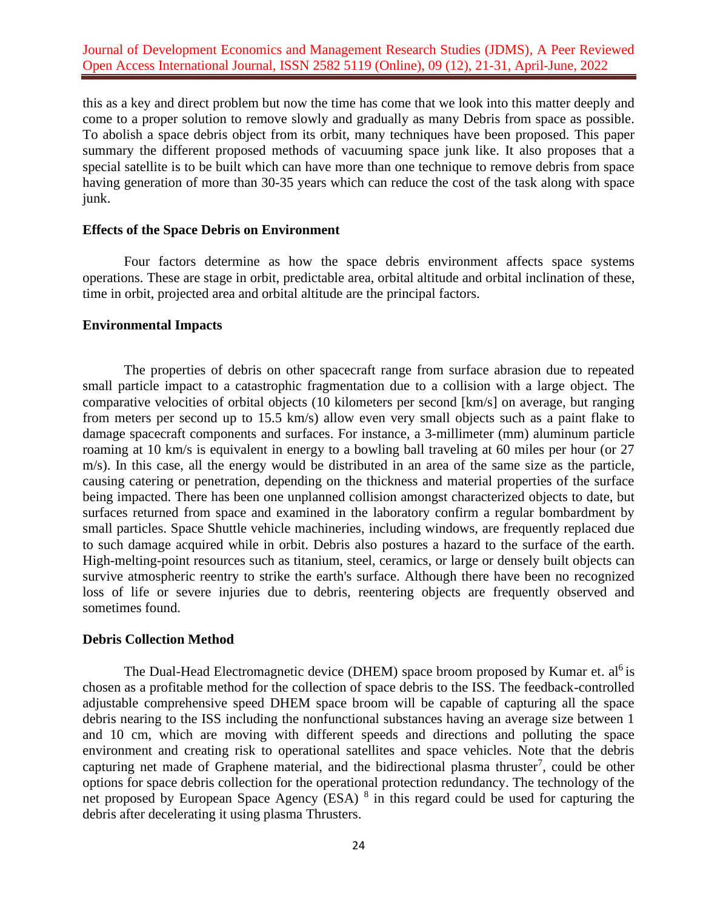this as a key and direct problem but now the time has come that we look into this matter deeply and come to a proper solution to remove slowly and gradually as many Debris from space as possible. To abolish a space debris object from its orbit, many techniques have been proposed. This paper summary the different proposed methods of vacuuming space junk like. It also proposes that a special satellite is to be built which can have more than one technique to remove debris from space having generation of more than 30-35 years which can reduce the cost of the task along with space junk.

### **Effects of the Space Debris on Environment**

Four factors determine as how the space debris environment affects space systems operations. These are stage in orbit, predictable area, orbital altitude and orbital inclination of these, time in orbit, projected area and orbital altitude are the principal factors.

#### **Environmental Impacts**

The properties of debris on other spacecraft range from surface abrasion due to repeated small particle impact to a catastrophic fragmentation due to a collision with a large object. The comparative velocities of orbital objects (10 kilometers per second [km/s] on average, but ranging from meters per second up to 15.5 km/s) allow even very small objects such as a paint flake to damage spacecraft components and surfaces. For instance, a 3-millimeter (mm) aluminum particle roaming at 10 km/s is equivalent in energy to a bowling ball traveling at 60 miles per hour (or 27 m/s). In this case, all the energy would be distributed in an area of the same size as the particle, causing catering or penetration, depending on the thickness and material properties of the surface being impacted. There has been one unplanned collision amongst characterized objects to date, but surfaces returned from space and examined in the laboratory confirm a regular bombardment by small particles. Space Shuttle vehicle machineries, including windows, are frequently replaced due to such damage acquired while in orbit. Debris also postures a hazard to the surface of the [earth.](http://www.encyclopedia.com/earth-and-environment/geology-and-oceanography/geology-and-oceanography/earth) High-melting-point resources such as titanium, steel, ceramics, or large or densely built objects can survive atmospheric reentry to strike the earth's surface. Although there have been no recognized loss of life or severe injuries due to debris, reentering objects are frequently observed and sometimes found.

#### **Debris Collection Method**

The Dual-Head Electromagnetic device (DHEM) space broom proposed by Kumar et. al<sup>6</sup> is chosen as a profitable method for the collection of space debris to the ISS. The feedback-controlled adjustable comprehensive speed DHEM space broom will be capable of capturing all the space debris nearing to the ISS including the nonfunctional substances having an average size between 1 and 10 cm, which are moving with different speeds and directions and polluting the space environment and creating risk to operational satellites and space vehicles. Note that the debris capturing net made of Graphene material, and the bidirectional plasma thruster<sup>7</sup>, could be other options for space debris collection for the operational protection redundancy. The technology of the net proposed by European Space Agency (ESA) <sup>8</sup> in this regard could be used for capturing the debris after decelerating it using plasma Thrusters.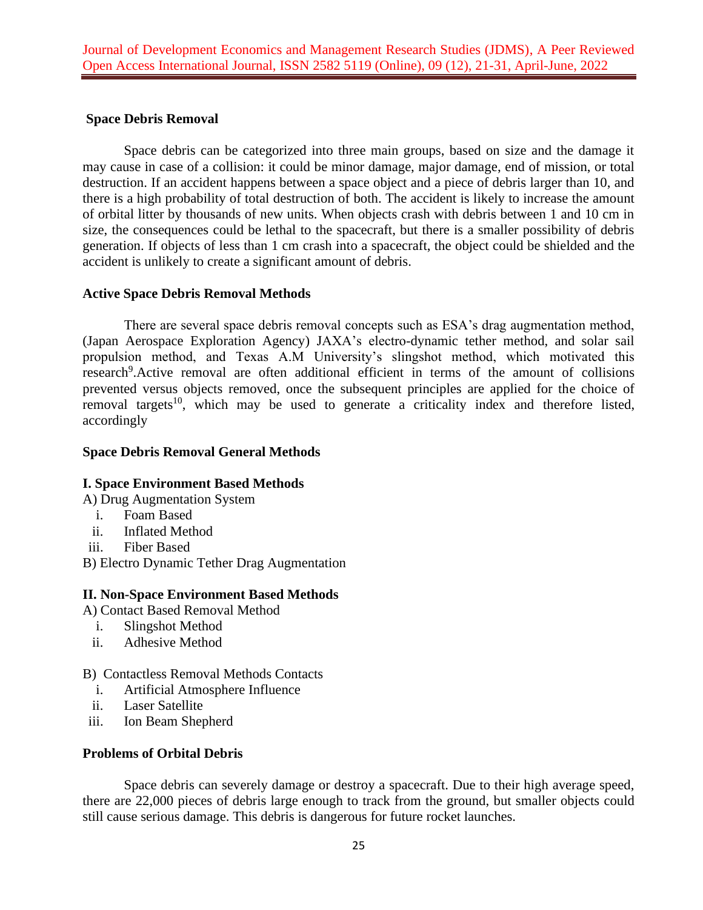## **Space Debris Removal**

Space debris can be categorized into three main groups, based on size and the damage it may cause in case of a collision: it could be minor damage, major damage, end of mission, or total destruction. If an accident happens between a space object and a piece of debris larger than 10, and there is a high probability of total destruction of both. The accident is likely to increase the amount of orbital litter by thousands of new units. When objects crash with debris between 1 and 10 cm in size, the consequences could be lethal to the spacecraft, but there is a smaller possibility of debris generation. If objects of less than 1 cm crash into a spacecraft, the object could be shielded and the accident is unlikely to create a significant amount of debris.

### **Active Space Debris Removal Methods**

There are several space debris removal concepts such as ESA's drag augmentation method, (Japan Aerospace Exploration Agency) JAXA's electro-dynamic tether method, and solar sail propulsion method, and Texas A.M University's slingshot method, which motivated this research<sup>9</sup>. Active removal are often additional efficient in terms of the amount of collisions prevented versus objects removed, once the subsequent principles are applied for the choice of removal targets<sup>10</sup>, which may be used to generate a criticality index and therefore listed, accordingly

### **Space Debris Removal General Methods**

# **I. Space Environment Based Methods**

A) Drug Augmentation System

- i. Foam Based
- ii. Inflated Method
- iii. Fiber Based

B) Electro Dynamic Tether Drag Augmentation

### **II. Non-Space Environment Based Methods**

A) Contact Based Removal Method

- i. Slingshot Method
- ii. Adhesive Method

### B) Contactless Removal Methods Contacts

- i. Artificial Atmosphere Influence
- ii. Laser Satellite
- iii. Ion Beam Shepherd

## **Problems of Orbital Debris**

Space debris can severely damage or destroy a spacecraft. Due to their high average speed, there are 22,000 pieces of debris large enough to track from the ground, but smaller objects could still cause serious damage. This debris is dangerous for future rocket launches.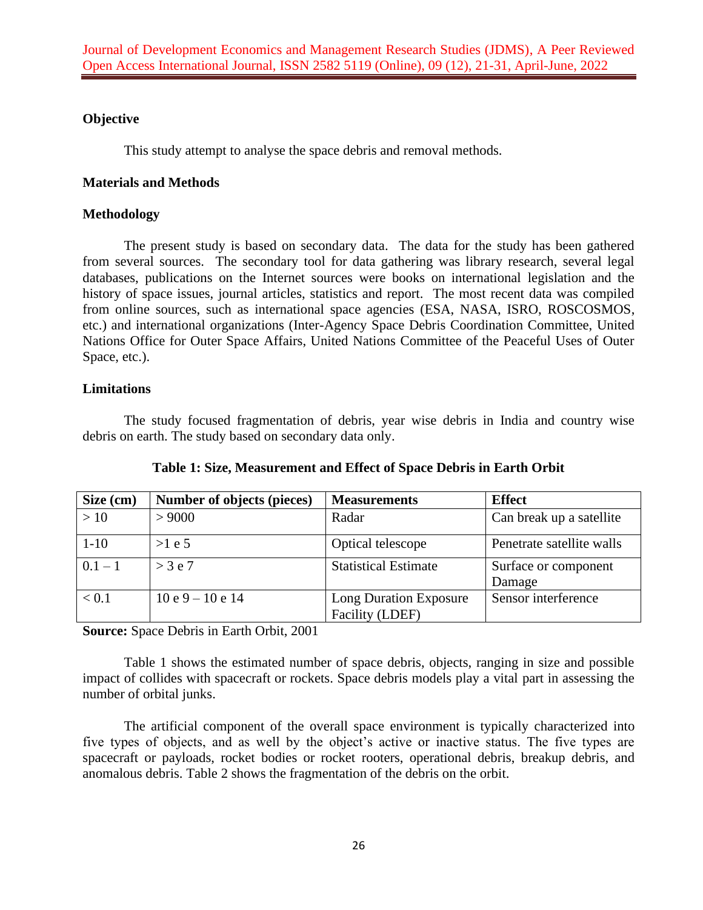# **Objective**

This study attempt to analyse the space debris and removal methods.

### **Materials and Methods**

### **Methodology**

The present study is based on secondary data. The data for the study has been gathered from several sources. The secondary tool for data gathering was library research, several legal databases, publications on the Internet sources were books on international legislation and the history of space issues, journal articles, statistics and report. The most recent data was compiled from online sources, such as international space agencies (ESA, NASA, ISRO, ROSCOSMOS, etc.) and international organizations (Inter-Agency Space Debris Coordination Committee, United Nations Office for Outer Space Affairs, United Nations Committee of the Peaceful Uses of Outer Space, etc.).

## **Limitations**

The study focused fragmentation of debris, year wise debris in India and country wise debris on earth. The study based on secondary data only.

| Size (cm) | Number of objects (pieces) | <b>Measurements</b>                       | <b>Effect</b>                  |
|-----------|----------------------------|-------------------------------------------|--------------------------------|
| >10       | > 9000                     | Radar                                     | Can break up a satellite       |
| $1 - 10$  | >1 e 5                     | Optical telescope                         | Penetrate satellite walls      |
| $0.1 - 1$ | $>$ 3 e 7                  | <b>Statistical Estimate</b>               | Surface or component<br>Damage |
| < 0.1     | $10e9 - 10e14$             | Long Duration Exposure<br>Facility (LDEF) | Sensor interference            |

**Table 1: Size, Measurement and Effect of Space Debris in Earth Orbit**

**Source:** Space Debris in Earth Orbit, 2001

Table 1 shows the estimated number of space debris, objects, ranging in size and possible impact of collides with spacecraft or rockets. Space debris models play a vital part in assessing the number of orbital junks.

The artificial component of the overall space environment is typically characterized into five types of objects, and as well by the object's active or inactive status. The five types are spacecraft or payloads, rocket bodies or rocket rooters, operational debris, breakup debris, and anomalous debris. Table 2 shows the fragmentation of the debris on the orbit.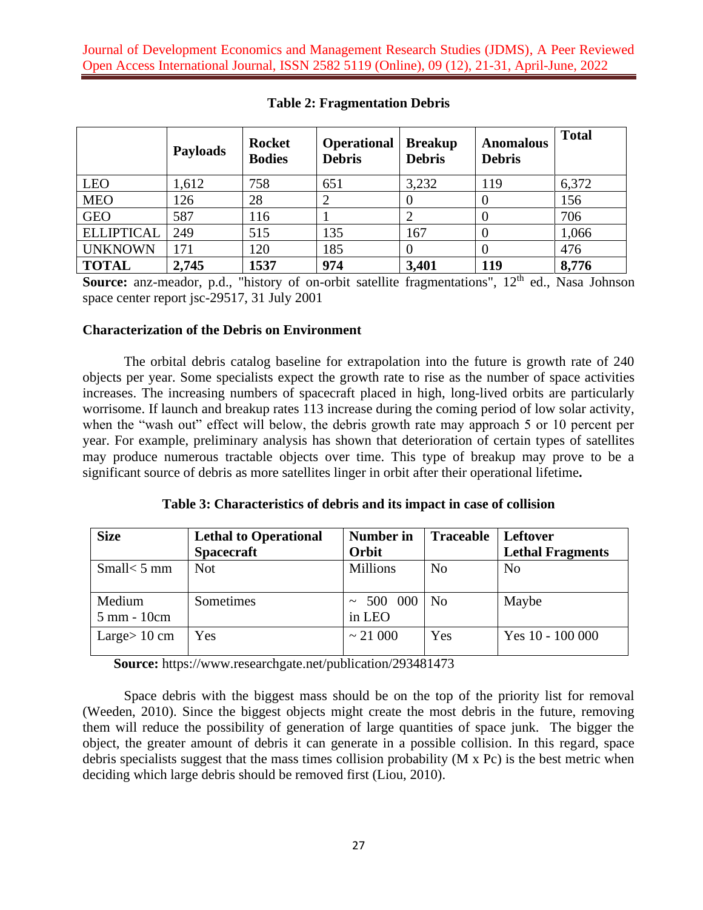|                   | <b>Payloads</b> | <b>Rocket</b><br><b>Bodies</b> | <b>Operational</b><br><b>Debris</b> | <b>Breakup</b><br><b>Debris</b> | <b>Anomalous</b><br><b>Debris</b> | <b>Total</b> |
|-------------------|-----------------|--------------------------------|-------------------------------------|---------------------------------|-----------------------------------|--------------|
| <b>LEO</b>        | 1,612           | 758                            | 651                                 | 3,232                           | 119                               | 6,372        |
| <b>MEO</b>        | 126             | 28                             |                                     |                                 |                                   | 156          |
| <b>GEO</b>        | 587             | 116                            |                                     |                                 |                                   | 706          |
| <b>ELLIPTICAL</b> | 249             | 515                            | 135                                 | 167                             |                                   | 1,066        |
| <b>UNKNOWN</b>    | 171             | 120                            | 185                                 | 0                               |                                   | 476          |
| <b>TOTAL</b>      | 2,745           | 1537                           | 974                                 | 3,401                           | 119                               | 8,776        |

**Table 2: Fragmentation Debris**

**Source:** anz-meador, p.d., "history of on-orbit satellite fragmentations", 12<sup>th</sup> ed., Nasa Johnson space center report jsc-29517, 31 July 2001

## **Characterization of the Debris on Environment**

The orbital debris catalog baseline for extrapolation into the future is growth rate of 240 objects per year. Some specialists expect the growth rate to rise as the number of space activities increases. The increasing numbers of spacecraft placed in high, long-lived orbits are particularly worrisome. If launch and breakup rates 113 increase during the coming period of low solar activity, when the "wash out" effect will below, the debris growth rate may approach 5 or 10 percent per year. For example, preliminary analysis has shown that deterioration of certain types of satellites may produce numerous tractable objects over time. This type of breakup may prove to be a significant source of debris as more satellites linger in orbit after their operational lifetime**.**

**Table 3: Characteristics of debris and its impact in case of collision**

| <b>Size</b>           | <b>Lethal to Operational</b><br><b>Spacecraft</b> | Number in<br>Orbit   | <b>Traceable</b> | <b>Leftover</b><br><b>Lethal Fragments</b> |
|-----------------------|---------------------------------------------------|----------------------|------------------|--------------------------------------------|
| Small $<$ 5 mm        | <b>Not</b>                                        | <b>Millions</b>      | N <sub>0</sub>   | N <sub>o</sub>                             |
| Medium<br>5 mm - 10cm | Sometimes                                         | 500 000 No<br>in LEO |                  | Maybe                                      |
| Large $> 10$ cm       | Yes                                               | $\sim$ 21 000        | Yes              | Yes $10 - 100000$                          |

**Source:** <https://www.researchgate.net/publication/293481473>

Space debris with the biggest mass should be on the top of the priority list for removal (Weeden, 2010). Since the biggest objects might create the most debris in the future, removing them will reduce the possibility of generation of large quantities of space junk. The bigger the object, the greater amount of debris it can generate in a possible collision. In this regard, space debris specialists suggest that the mass times collision probability (M x Pc) is the best metric when deciding which large debris should be removed first (Liou, 2010).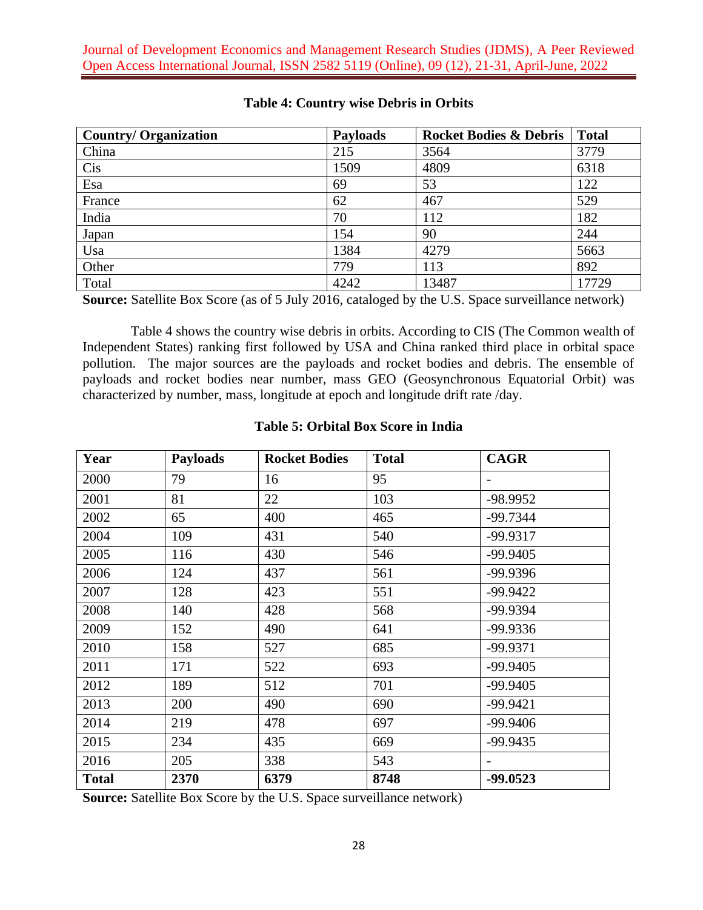| <b>Country/Organization</b> | <b>Payloads</b> | <b>Rocket Bodies &amp; Debris</b> | <b>Total</b> |
|-----------------------------|-----------------|-----------------------------------|--------------|
| China                       | 215             | 3564                              | 3779         |
| Cis                         | 1509            | 4809                              | 6318         |
| Esa                         | 69              | 53                                | 122          |
| France                      | 62              | 467                               | 529          |
| India                       | 70              | 112                               | 182          |
| Japan                       | 154             | 90                                | 244          |
| Usa                         | 1384            | 4279                              | 5663         |
| Other                       | 779             | 113                               | 892          |
| Total                       | 4242            | 13487                             | 17729        |

# **Table 4: Country wise Debris in Orbits**

**Source:** Satellite Box Score (as of 5 July 2016, cataloged by the U.S. Space surveillance network)

 Table 4 shows the country wise debris in orbits. According to CIS (The Common wealth of Independent States) ranking first followed by USA and China ranked third place in orbital space pollution. The major sources are the payloads and rocket bodies and debris. The ensemble of payloads and rocket bodies near number, mass GEO (Geosynchronous Equatorial Orbit) was characterized by number, mass, longitude at epoch and longitude drift rate /day.

| Year         | <b>Payloads</b> | <b>Rocket Bodies</b> | <b>Total</b> | <b>CAGR</b> |
|--------------|-----------------|----------------------|--------------|-------------|
| 2000         | 79              | 16                   | 95           |             |
| 2001         | 81              | 22                   | 103          | -98.9952    |
| 2002         | 65              | 400                  | 465          | $-99.7344$  |
| 2004         | 109             | 431                  | 540          | -99.9317    |
| 2005         | 116             | 430                  | 546          | $-99.9405$  |
| 2006         | 124             | 437                  | 561          | -99.9396    |
| 2007         | 128             | 423                  | 551          | $-99.9422$  |
| 2008         | 140             | 428                  | 568          | -99.9394    |
| 2009         | 152             | 490                  | 641          | -99.9336    |
| 2010         | 158             | 527                  | 685          | $-99.9371$  |
| 2011         | 171             | 522                  | 693          | $-99.9405$  |
| 2012         | 189             | 512                  | 701          | $-99.9405$  |
| 2013         | 200             | 490                  | 690          | $-99.9421$  |
| 2014         | 219             | 478                  | 697          | -99.9406    |
| 2015         | 234             | 435                  | 669          | $-99.9435$  |
| 2016         | 205             | 338                  | 543          |             |
| <b>Total</b> | 2370            | 6379                 | 8748         | $-99.0523$  |

### **Table 5: Orbital Box Score in India**

**Source:** Satellite Box Score by the U.S. Space surveillance network)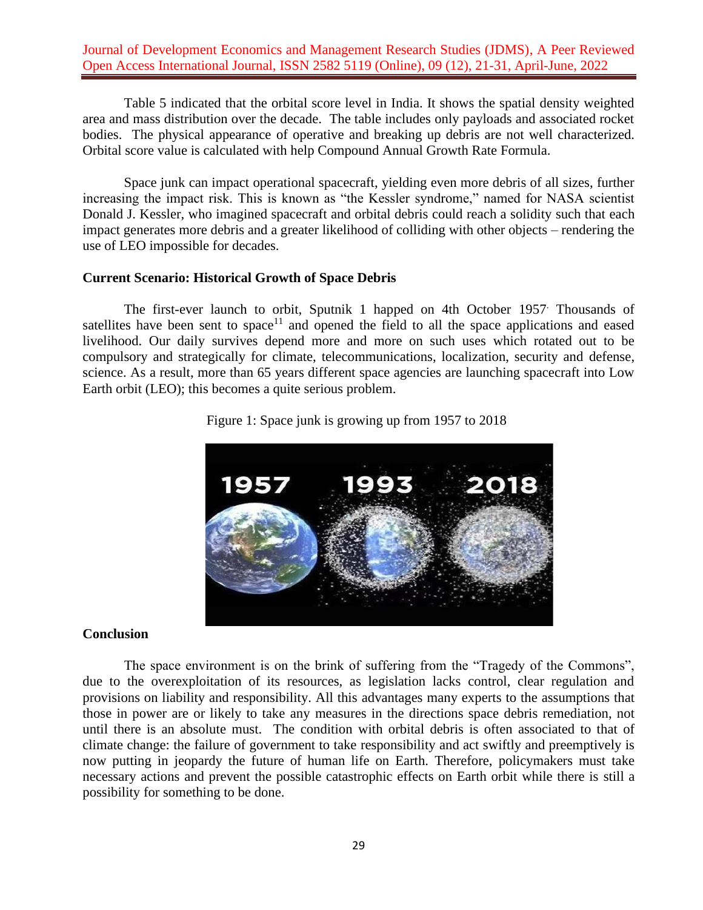Table 5 indicated that the orbital score level in India. It shows the spatial density weighted area and mass distribution over the decade. The table includes only payloads and associated rocket bodies. The physical appearance of operative and breaking up debris are not well characterized. Orbital score value is calculated with help Compound Annual Growth Rate Formula.

Space junk can impact operational spacecraft, yielding even more debris of all sizes, further increasing the impact risk. This is known as "the Kessler syndrome," named for NASA scientist Donald J. Kessler, who imagined spacecraft and orbital debris could reach a solidity such that each impact generates more debris and a greater likelihood of colliding with other objects – rendering the use of LEO impossible for decades.

#### **Current Scenario: Historical Growth of Space Debris**

The first-ever launch to orbit, Sputnik 1 happed on 4th October 1957. Thousands of satellites have been sent to space<sup>11</sup> and opened the field to all the space applications and eased livelihood. Our daily survives depend more and more on such uses which rotated out to be compulsory and strategically for climate, telecommunications, localization, security and defense, science. As a result, more than 65 years different space agencies are launching spacecraft into Low Earth orbit (LEO); this becomes a quite serious problem.



Figure 1: Space junk is growing up from 1957 to 2018

### **Conclusion**

The space environment is on the brink of suffering from the "Tragedy of the Commons", due to the overexploitation of its resources, as legislation lacks control, clear regulation and provisions on liability and responsibility. All this advantages many experts to the assumptions that those in power are or likely to take any measures in the directions space debris remediation, not until there is an absolute must. The condition with orbital debris is often associated to that of climate change: the failure of government to take responsibility and act swiftly and preemptively is now putting in jeopardy the future of human life on Earth. Therefore, policymakers must take necessary actions and prevent the possible catastrophic effects on Earth orbit while there is still a possibility for something to be done.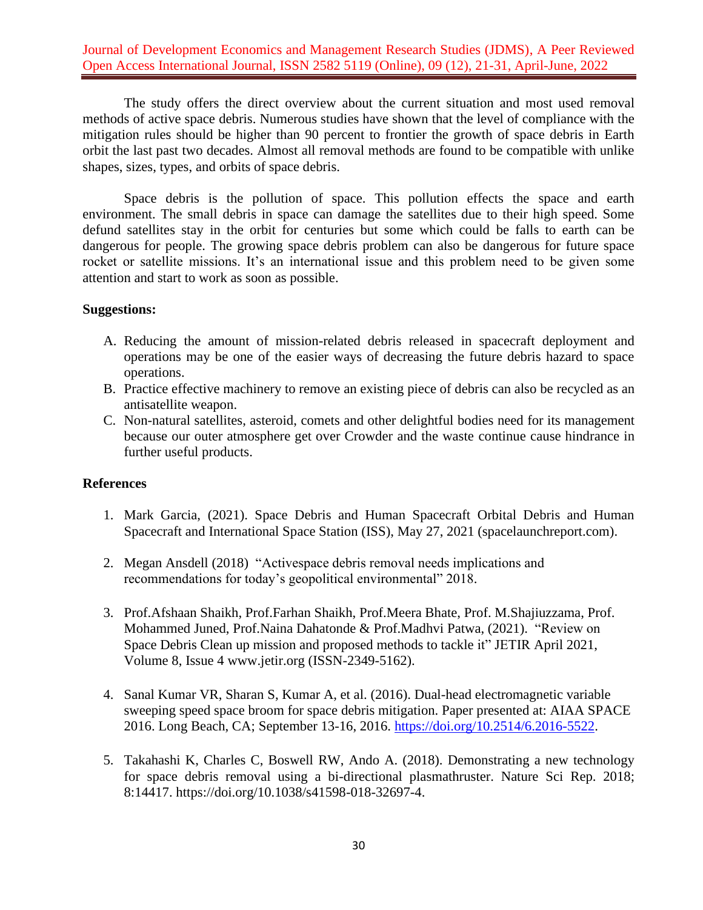The study offers the direct overview about the current situation and most used removal methods of active space debris. Numerous studies have shown that the level of compliance with the mitigation rules should be higher than 90 percent to frontier the growth of space debris in Earth orbit the last past two decades. Almost all removal methods are found to be compatible with unlike shapes, sizes, types, and orbits of space debris.

Space debris is the pollution of space. This pollution effects the space and earth environment. The small debris in space can damage the satellites due to their high speed. Some defund satellites stay in the orbit for centuries but some which could be falls to earth can be dangerous for people. The growing space debris problem can also be dangerous for future space rocket or satellite missions. It's an international issue and this problem need to be given some attention and start to work as soon as possible.

### **Suggestions:**

- A. Reducing the amount of mission-related debris released in spacecraft deployment and operations may be one of the easier ways of decreasing the future debris hazard to space operations.
- B. Practice effective machinery to remove an existing piece of debris can also be recycled as an antisatellite weapon.
- C. Non-natural satellites, asteroid, comets and other delightful bodies need for its management because our outer atmosphere get over Crowder and the waste continue cause hindrance in further useful products.

### **References**

- 1. Mark Garcia, (2021). Space Debris and Human Spacecraft Orbital Debris and Human Spacecraft and International Space Station (ISS), May 27, 2021 (spacelaunchreport.com).
- 2. Megan Ansdell (2018) "Activespace debris removal needs implications and recommendations for today's geopolitical environmental" 2018.
- 3. Prof.Afshaan Shaikh, Prof.Farhan Shaikh, Prof.Meera Bhate, Prof. M.Shajiuzzama, Prof. Mohammed Juned, Prof.Naina Dahatonde & Prof.Madhvi Patwa, (2021). "Review on Space Debris Clean up mission and proposed methods to tackle it" JETIR April 2021, Volume 8, Issue 4 www.jetir.org (ISSN-2349-5162).
- 4. Sanal Kumar VR, Sharan S, Kumar A, et al. (2016). Dual-head electromagnetic variable sweeping speed space broom for space debris mitigation. Paper presented at: AIAA SPACE 2016. Long Beach, CA; September 13-16, 2016. [https://doi.org/10.2514/6.2016-5522.](https://doi.org/10.2514/6.2016-5522)
- 5. Takahashi K, Charles C, Boswell RW, Ando A. (2018). Demonstrating a new technology for space debris removal using a bi-directional plasmathruster. Nature Sci Rep. 2018; 8:14417. [https://doi.org/10.1038/s41598-018-32697-4.](https://doi.org/10.1038/s41598-018-32697-4)